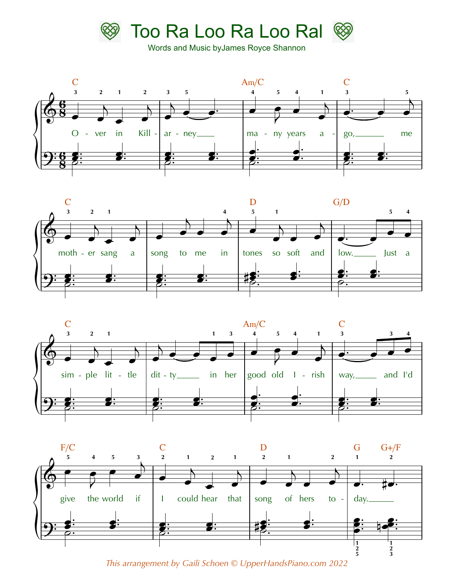

Words and Music byJames Royce Shannon









*This arrangement by Gaili Schoen © UpperHandsPiano.com 2022*